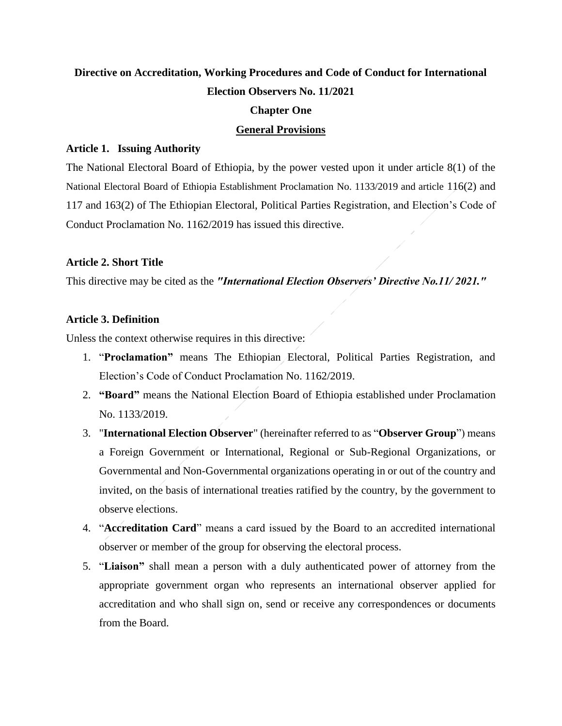# **Directive on Accreditation, Working Procedures and Code of Conduct for International Election Observers No. 11/2021**

#### **Chapter One**

#### **General Provisions**

#### **Article 1. Issuing Authority**

The National Electoral Board of Ethiopia, by the power vested upon it under article 8(1) of the National Electoral Board of Ethiopia Establishment Proclamation No. 1133/2019 and article 116(2) and 117 and 163(2) of The Ethiopian Electoral, Political Parties Registration, and Election's Code of Conduct Proclamation No. 1162/2019 has issued this directive.

#### **Article 2. Short Title**

This directive may be cited as the *"International Election Observers' Directive No.11/ 2021."*

## **Article 3. Definition**

Unless the context otherwise requires in this directive:

- 1. "**Proclamation"** means The Ethiopian Electoral, Political Parties Registration, and Election's Code of Conduct Proclamation No. 1162/2019.
- 2. **"Board"** means the National Election Board of Ethiopia established under Proclamation No. 1133/2019.
- 3. "**International Election Observer**" (hereinafter referred to as "**Observer Group**") means a Foreign Government or International, Regional or Sub-Regional Organizations, or Governmental and Non-Governmental organizations operating in or out of the country and invited, on the basis of international treaties ratified by the country, by the government to observe elections.
- 4. "**Accreditation Card**" means a card issued by the Board to an accredited international observer or member of the group for observing the electoral process.
- 5. "**Liaison"** shall mean a person with a duly authenticated power of attorney from the appropriate government organ who represents an international observer applied for accreditation and who shall sign on, send or receive any correspondences or documents from the Board.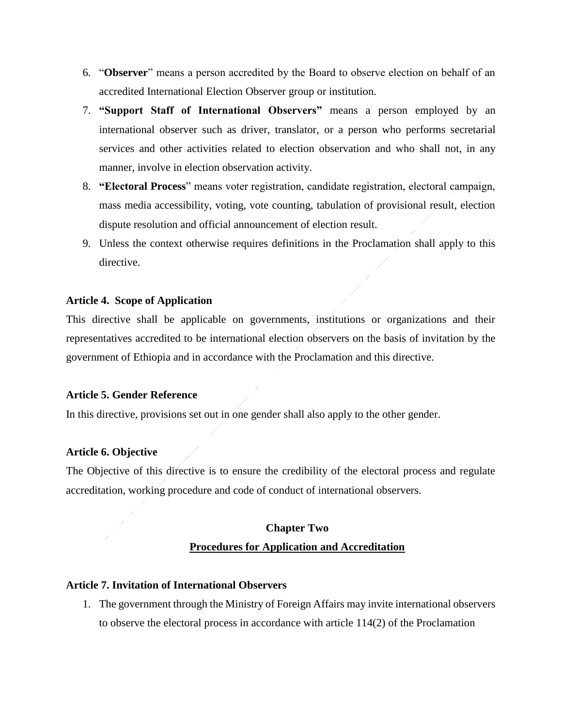- 6. "**Observer**" means a person accredited by the Board to observe election on behalf of an accredited International Election Observer group or institution.
- 7. **"Support Staff of International Observers"** means a person employed by an international observer such as driver, translator, or a person who performs secretarial services and other activities related to election observation and who shall not, in any manner, involve in election observation activity.
- 8. **"Electoral Process**" means voter registration, candidate registration, electoral campaign, mass media accessibility, voting, vote counting, tabulation of provisional result, election dispute resolution and official announcement of election result.
- 9. Unless the context otherwise requires definitions in the Proclamation shall apply to this directive.

## **Article 4. Scope of Application**

This directive shall be applicable on governments, institutions or organizations and their representatives accredited to be international election observers on the basis of invitation by the government of Ethiopia and in accordance with the Proclamation and this directive.

#### **Article 5. Gender Reference**

In this directive, provisions set out in one gender shall also apply to the other gender.

#### **Article 6. Objective**

The Objective of this directive is to ensure the credibility of the electoral process and regulate accreditation, working procedure and code of conduct of international observers.

# **Chapter Two Procedures for Application and Accreditation**

#### **Article 7. Invitation of International Observers**

1. The government through the Ministry of Foreign Affairs may invite international observers to observe the electoral process in accordance with article 114(2) of the Proclamation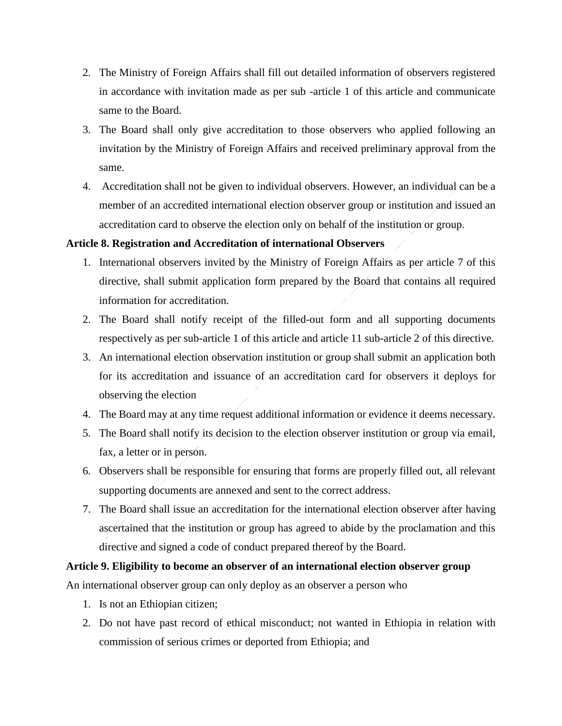- 2. The Ministry of Foreign Affairs shall fill out detailed information of observers registered in accordance with invitation made as per sub -article 1 of this article and communicate same to the Board.
- 3. The Board shall only give accreditation to those observers who applied following an invitation by the Ministry of Foreign Affairs and received preliminary approval from the same.
- 4. Accreditation shall not be given to individual observers. However, an individual can be a member of an accredited international election observer group or institution and issued an accreditation card to observe the election only on behalf of the institution or group.

## **Article 8. Registration and Accreditation of international Observers**

- 1. International observers invited by the Ministry of Foreign Affairs as per article 7 of this directive, shall submit application form prepared by the Board that contains all required information for accreditation.
- 2. The Board shall notify receipt of the filled-out form and all supporting documents respectively as per sub-article 1 of this article and article 11 sub-article 2 of this directive.
- 3. An international election observation institution or group shall submit an application both for its accreditation and issuance of an accreditation card for observers it deploys for observing the election
- 4. The Board may at any time request additional information or evidence it deems necessary.
- 5. The Board shall notify its decision to the election observer institution or group via email, fax, a letter or in person.
- 6. Observers shall be responsible for ensuring that forms are properly filled out, all relevant supporting documents are annexed and sent to the correct address.
- 7. The Board shall issue an accreditation for the international election observer after having ascertained that the institution or group has agreed to abide by the proclamation and this directive and signed a code of conduct prepared thereof by the Board.

## **Article 9. Eligibility to become an observer of an international election observer group**

An international observer group can only deploy as an observer a person who

- 1. Is not an Ethiopian citizen;
- 2. Do not have past record of ethical misconduct; not wanted in Ethiopia in relation with commission of serious crimes or deported from Ethiopia; and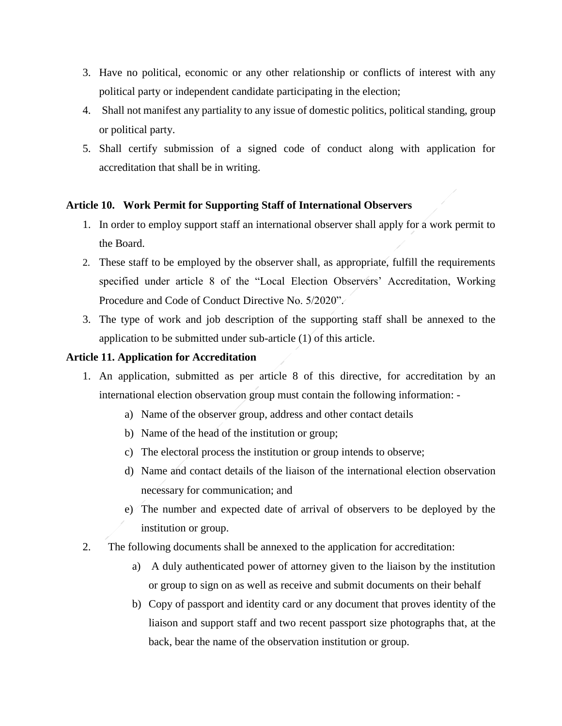- 3. Have no political, economic or any other relationship or conflicts of interest with any political party or independent candidate participating in the election;
- 4. Shall not manifest any partiality to any issue of domestic politics, political standing, group or political party.
- 5. Shall certify submission of a signed code of conduct along with application for accreditation that shall be in writing.

# **Article 10. Work Permit for Supporting Staff of International Observers**

- 1. In order to employ support staff an international observer shall apply for a work permit to the Board.
- 2. These staff to be employed by the observer shall, as appropriate, fulfill the requirements specified under article 8 of the "Local Election Observers' Accreditation, Working Procedure and Code of Conduct Directive No. 5/2020".
- 3. The type of work and job description of the supporting staff shall be annexed to the application to be submitted under sub-article (1) of this article.

## **Article 11. Application for Accreditation**

- 1. An application, submitted as per article 8 of this directive, for accreditation by an international election observation group must contain the following information:
	- a) Name of the observer group, address and other contact details
	- b) Name of the head of the institution or group;
	- c) The electoral process the institution or group intends to observe;
	- d) Name and contact details of the liaison of the international election observation necessary for communication; and
	- e) The number and expected date of arrival of observers to be deployed by the institution or group.
- 2. The following documents shall be annexed to the application for accreditation:
	- a) A duly authenticated power of attorney given to the liaison by the institution or group to sign on as well as receive and submit documents on their behalf
	- b) Copy of passport and identity card or any document that proves identity of the liaison and support staff and two recent passport size photographs that, at the back, bear the name of the observation institution or group.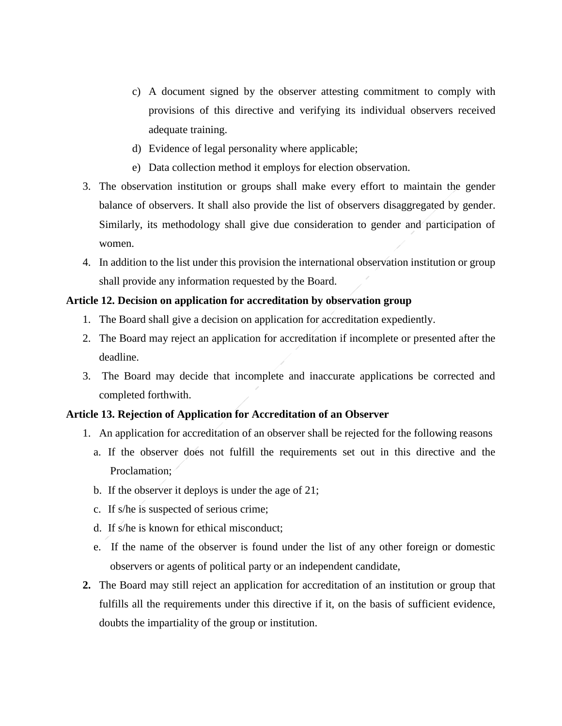- c) A document signed by the observer attesting commitment to comply with provisions of this directive and verifying its individual observers received adequate training.
- d) Evidence of legal personality where applicable;
- e) Data collection method it employs for election observation.
- 3. The observation institution or groups shall make every effort to maintain the gender balance of observers. It shall also provide the list of observers disaggregated by gender. Similarly, its methodology shall give due consideration to gender and participation of women.
- 4. In addition to the list under this provision the international observation institution or group shall provide any information requested by the Board.

#### **Article 12. Decision on application for accreditation by observation group**

- 1. The Board shall give a decision on application for accreditation expediently.
- 2. The Board may reject an application for accreditation if incomplete or presented after the deadline.
- 3. The Board may decide that incomplete and inaccurate applications be corrected and completed forthwith.

#### **Article 13. Rejection of Application for Accreditation of an Observer**

- 1. An application for accreditation of an observer shall be rejected for the following reasons
	- a. If the observer does not fulfill the requirements set out in this directive and the Proclamation:
	- b. If the observer it deploys is under the age of 21;
	- c. If s/he is suspected of serious crime;
	- d. If s/he is known for ethical misconduct;
	- e. If the name of the observer is found under the list of any other foreign or domestic observers or agents of political party or an independent candidate,
- **2.** The Board may still reject an application for accreditation of an institution or group that fulfills all the requirements under this directive if it, on the basis of sufficient evidence, doubts the impartiality of the group or institution.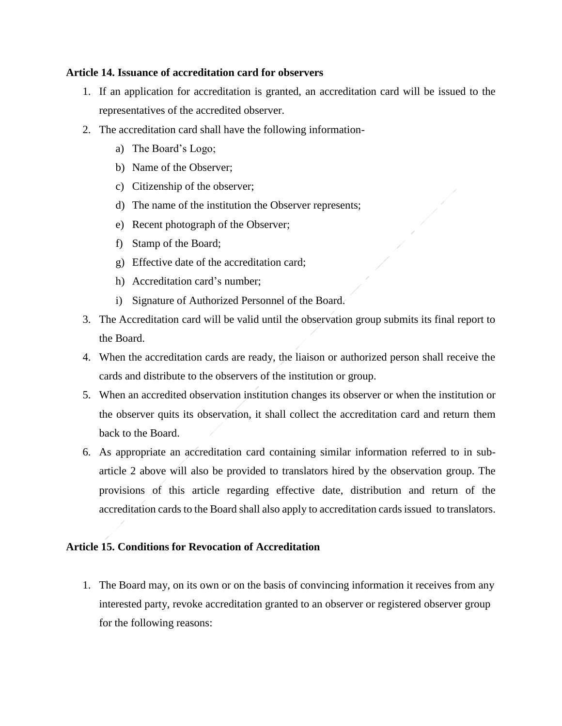## **Article 14. Issuance of accreditation card for observers**

- 1. If an application for accreditation is granted, an accreditation card will be issued to the representatives of the accredited observer.
- 2. The accreditation card shall have the following information
	- a) The Board's Logo;
	- b) Name of the Observer;
	- c) Citizenship of the observer;
	- d) The name of the institution the Observer represents;
	- e) Recent photograph of the Observer;
	- f) Stamp of the Board;
	- g) Effective date of the accreditation card;
	- h) Accreditation card's number;
	- i) Signature of Authorized Personnel of the Board.
- 3. The Accreditation card will be valid until the observation group submits its final report to the Board.
- 4. When the accreditation cards are ready, the liaison or authorized person shall receive the cards and distribute to the observers of the institution or group.
- 5. When an accredited observation institution changes its observer or when the institution or the observer quits its observation, it shall collect the accreditation card and return them back to the Board.
- 6. As appropriate an accreditation card containing similar information referred to in subarticle 2 above will also be provided to translators hired by the observation group. The provisions of this article regarding effective date, distribution and return of the accreditation cards to the Board shall also apply to accreditation cards issued to translators.

# **Article 15. Conditions for Revocation of Accreditation**

1. The Board may, on its own or on the basis of convincing information it receives from any interested party, revoke accreditation granted to an observer or registered observer group for the following reasons: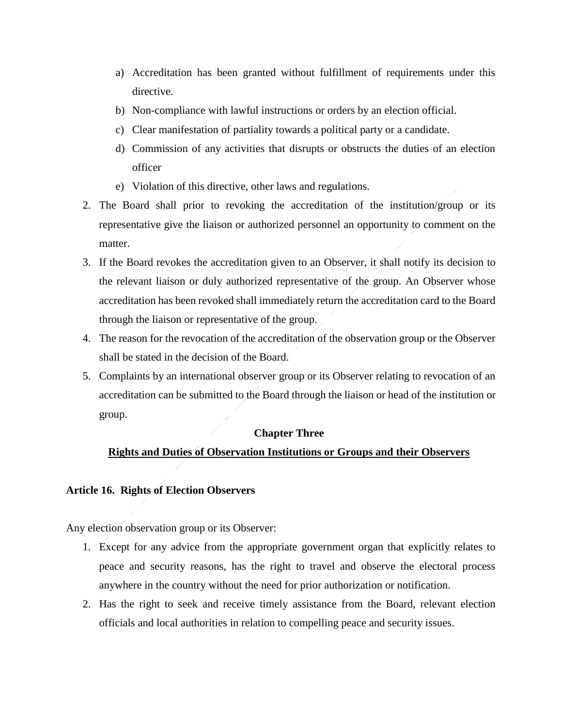- a) Accreditation has been granted without fulfillment of requirements under this directive.
- b) Non-compliance with lawful instructions or orders by an election official.
- c) Clear manifestation of partiality towards a political party or a candidate.
- d) Commission of any activities that disrupts or obstructs the duties of an election officer
- e) Violation of this directive, other laws and regulations.
- 2. The Board shall prior to revoking the accreditation of the institution/group or its representative give the liaison or authorized personnel an opportunity to comment on the matter.
- 3. If the Board revokes the accreditation given to an Observer, it shall notify its decision to the relevant liaison or duly authorized representative of the group. An Observer whose accreditation has been revoked shall immediately return the accreditation card to the Board through the liaison or representative of the group.
- 4. The reason for the revocation of the accreditation of the observation group or the Observer shall be stated in the decision of the Board.
- 5. Complaints by an international observer group or its Observer relating to revocation of an accreditation can be submitted to the Board through the liaison or head of the institution or group.

## **Chapter Three**

## **Rights and Duties of Observation Institutions or Groups and their Observers**

## **Article 16. Rights of Election Observers**

Any election observation group or its Observer:

- 1. Except for any advice from the appropriate government organ that explicitly relates to peace and security reasons, has the right to travel and observe the electoral process anywhere in the country without the need for prior authorization or notification.
- 2. Has the right to seek and receive timely assistance from the Board, relevant election officials and local authorities in relation to compelling peace and security issues.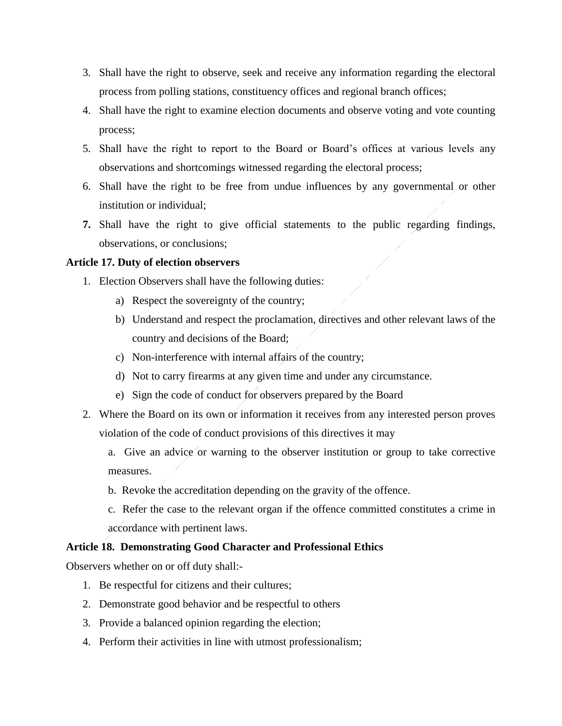- 3. Shall have the right to observe, seek and receive any information regarding the electoral process from polling stations, constituency offices and regional branch offices;
- 4. Shall have the right to examine election documents and observe voting and vote counting process;
- 5. Shall have the right to report to the Board or Board's offices at various levels any observations and shortcomings witnessed regarding the electoral process;
- 6. Shall have the right to be free from undue influences by any governmental or other institution or individual;
- **7.** Shall have the right to give official statements to the public regarding findings, observations, or conclusions;

## **Article 17. Duty of election observers**

- 1. Election Observers shall have the following duties:
	- a) Respect the sovereignty of the country;
	- b) Understand and respect the proclamation, directives and other relevant laws of the country and decisions of the Board;
	- c) Non-interference with internal affairs of the country;
	- d) Not to carry firearms at any given time and under any circumstance.
	- e) Sign the code of conduct for observers prepared by the Board
- 2. Where the Board on its own or information it receives from any interested person proves violation of the code of conduct provisions of this directives it may
	- a. Give an advice or warning to the observer institution or group to take corrective measures.
	- b. Revoke the accreditation depending on the gravity of the offence.
	- c. Refer the case to the relevant organ if the offence committed constitutes a crime in accordance with pertinent laws.

## **Article 18. Demonstrating Good Character and Professional Ethics**

Observers whether on or off duty shall:-

- 1. Be respectful for citizens and their cultures;
- 2. Demonstrate good behavior and be respectful to others
- 3. Provide a balanced opinion regarding the election;
- 4. Perform their activities in line with utmost professionalism;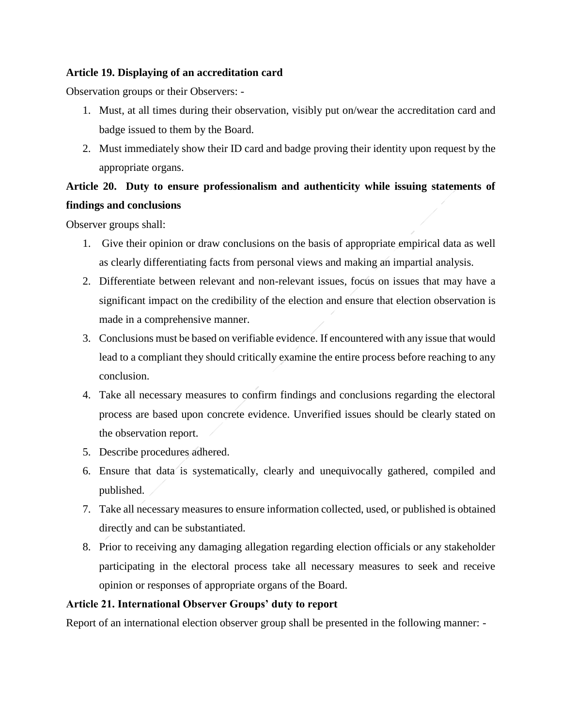# **Article 19. Displaying of an accreditation card**

Observation groups or their Observers: -

- 1. Must, at all times during their observation, visibly put on/wear the accreditation card and badge issued to them by the Board.
- 2. Must immediately show their ID card and badge proving their identity upon request by the appropriate organs.

# **Article 20. Duty to ensure professionalism and authenticity while issuing statements of findings and conclusions**

Observer groups shall:

- 1. Give their opinion or draw conclusions on the basis of appropriate empirical data as well as clearly differentiating facts from personal views and making an impartial analysis.
- 2. Differentiate between relevant and non-relevant issues, focus on issues that may have a significant impact on the credibility of the election and ensure that election observation is made in a comprehensive manner.
- 3. Conclusions must be based on verifiable evidence. If encountered with any issue that would lead to a compliant they should critically examine the entire process before reaching to any conclusion.
- 4. Take all necessary measures to confirm findings and conclusions regarding the electoral process are based upon concrete evidence. Unverified issues should be clearly stated on the observation report.
- 5. Describe procedures adhered.
- 6. Ensure that data is systematically, clearly and unequivocally gathered, compiled and published.
- 7. Take all necessary measures to ensure information collected, used, or published is obtained directly and can be substantiated.
- 8. Prior to receiving any damaging allegation regarding election officials or any stakeholder participating in the electoral process take all necessary measures to seek and receive opinion or responses of appropriate organs of the Board.

# **Article 21. International Observer Groups' duty to report**

Report of an international election observer group shall be presented in the following manner: -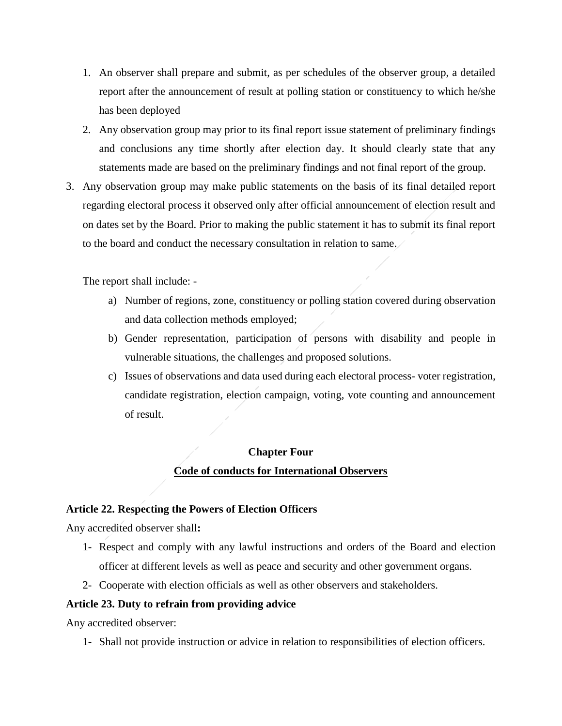- 1. An observer shall prepare and submit, as per schedules of the observer group, a detailed report after the announcement of result at polling station or constituency to which he/she has been deployed
- 2. Any observation group may prior to its final report issue statement of preliminary findings and conclusions any time shortly after election day. It should clearly state that any statements made are based on the preliminary findings and not final report of the group.
- 3. Any observation group may make public statements on the basis of its final detailed report regarding electoral process it observed only after official announcement of election result and on dates set by the Board. Prior to making the public statement it has to submit its final report to the board and conduct the necessary consultation in relation to same.

The report shall include: -

- a) Number of regions, zone, constituency or polling station covered during observation and data collection methods employed;
- b) Gender representation, participation of persons with disability and people in vulnerable situations, the challenges and proposed solutions.
- c) Issues of observations and data used during each electoral process- voter registration, candidate registration, election campaign, voting, vote counting and announcement of result.

# **Chapter Four Code of conducts for International Observers**

# **Article 22. Respecting the Powers of Election Officers**

Any accredited observer shall**:**

- 1- Respect and comply with any lawful instructions and orders of the Board and election officer at different levels as well as peace and security and other government organs.
- 2- Cooperate with election officials as well as other observers and stakeholders.

# **Article 23. Duty to refrain from providing advice**

Any accredited observer:

1- Shall not provide instruction or advice in relation to responsibilities of election officers.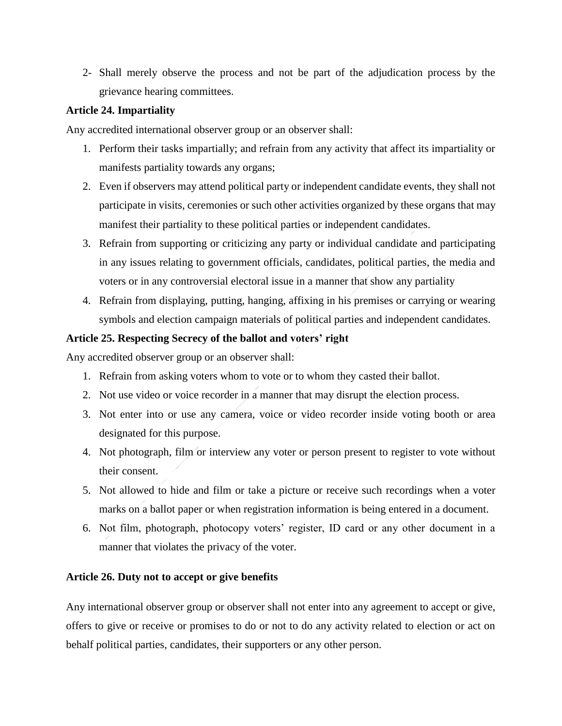2- Shall merely observe the process and not be part of the adjudication process by the grievance hearing committees.

# **Article 24. Impartiality**

Any accredited international observer group or an observer shall:

- 1. Perform their tasks impartially; and refrain from any activity that affect its impartiality or manifests partiality towards any organs;
- 2. Even if observers may attend political party or independent candidate events, they shall not participate in visits, ceremonies or such other activities organized by these organs that may manifest their partiality to these political parties or independent candidates.
- 3. Refrain from supporting or criticizing any party or individual candidate and participating in any issues relating to government officials, candidates, political parties, the media and voters or in any controversial electoral issue in a manner that show any partiality
- 4. Refrain from displaying, putting, hanging, affixing in his premises or carrying or wearing symbols and election campaign materials of political parties and independent candidates.

# **Article 25. Respecting Secrecy of the ballot and voters' right**

Any accredited observer group or an observer shall:

- 1. Refrain from asking voters whom to vote or to whom they casted their ballot.
- 2. Not use video or voice recorder in a manner that may disrupt the election process.
- 3. Not enter into or use any camera, voice or video recorder inside voting booth or area designated for this purpose.
- 4. Not photograph, film or interview any voter or person present to register to vote without their consent.
- 5. Not allowed to hide and film or take a picture or receive such recordings when a voter marks on a ballot paper or when registration information is being entered in a document.
- 6. Not film, photograph, photocopy voters' register, ID card or any other document in a manner that violates the privacy of the voter.

## **Article 26. Duty not to accept or give benefits**

Any international observer group or observer shall not enter into any agreement to accept or give, offers to give or receive or promises to do or not to do any activity related to election or act on behalf political parties, candidates, their supporters or any other person.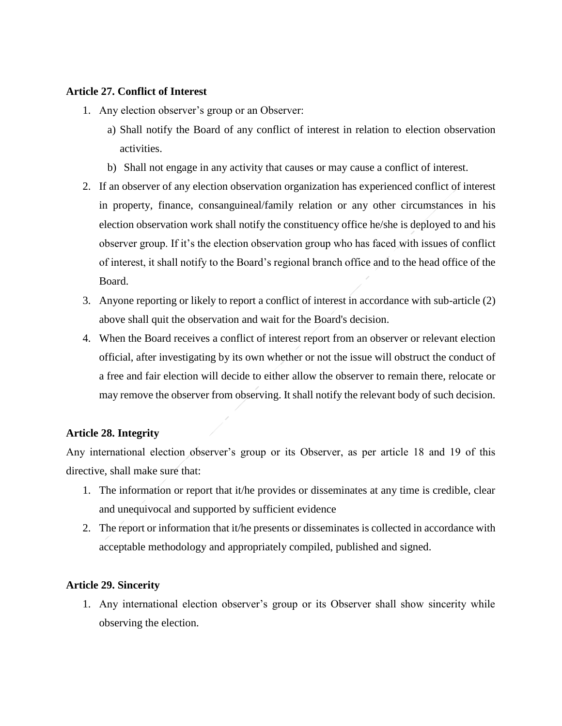## **Article 27. Conflict of Interest**

- 1. Any election observer's group or an Observer:
	- a) Shall notify the Board of any conflict of interest in relation to election observation activities.
	- b) Shall not engage in any activity that causes or may cause a conflict of interest.
- 2. If an observer of any election observation organization has experienced conflict of interest in property, finance, consanguineal/family relation or any other circumstances in his election observation work shall notify the constituency office he/she is deployed to and his observer group. If it's the election observation group who has faced with issues of conflict of interest, it shall notify to the Board's regional branch office and to the head office of the Board.
- 3. Anyone reporting or likely to report a conflict of interest in accordance with sub-article (2) above shall quit the observation and wait for the Board's decision.
- 4. When the Board receives a conflict of interest report from an observer or relevant election official, after investigating by its own whether or not the issue will obstruct the conduct of a free and fair election will decide to either allow the observer to remain there, relocate or may remove the observer from observing. It shall notify the relevant body of such decision.

# **Article 28. Integrity**

Any international election observer's group or its Observer, as per article 18 and 19 of this directive, shall make sure that:

- 1. The information or report that it/he provides or disseminates at any time is credible, clear and unequivocal and supported by sufficient evidence
- 2. The report or information that it/he presents or disseminates is collected in accordance with acceptable methodology and appropriately compiled, published and signed.

# **Article 29. Sincerity**

1. Any international election observer's group or its Observer shall show sincerity while observing the election.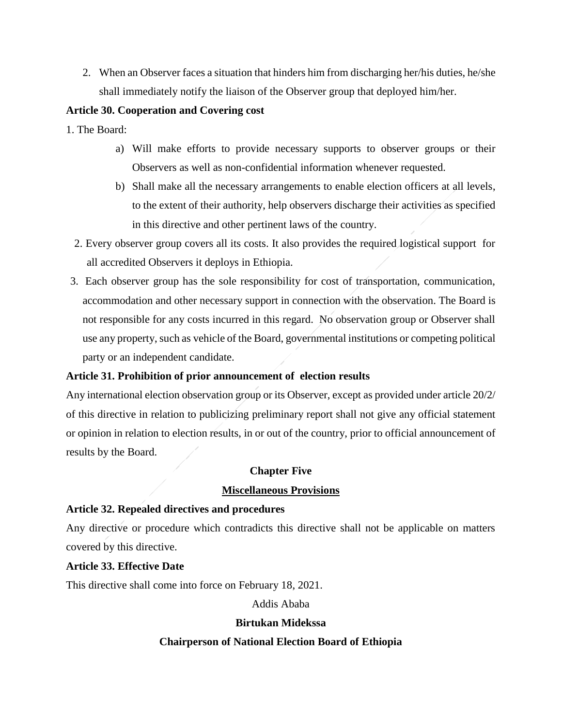2. When an Observer faces a situation that hinders him from discharging her/his duties, he/she shall immediately notify the liaison of the Observer group that deployed him/her.

# **Article 30. Cooperation and Covering cost**

- 1. The Board:
	- a) Will make efforts to provide necessary supports to observer groups or their Observers as well as non-confidential information whenever requested.
	- b) Shall make all the necessary arrangements to enable election officers at all levels, to the extent of their authority, help observers discharge their activities as specified in this directive and other pertinent laws of the country.
	- 2. Every observer group covers all its costs. It also provides the required logistical support for all accredited Observers it deploys in Ethiopia.
- 3. Each observer group has the sole responsibility for cost of transportation, communication, accommodation and other necessary support in connection with the observation. The Board is not responsible for any costs incurred in this regard. No observation group or Observer shall use any property, such as vehicle of the Board, governmental institutions or competing political party or an independent candidate.

# **Article 31. Prohibition of prior announcement of election results**

Any international election observation group or its Observer, except as provided under article 20/2/ of this directive in relation to publicizing preliminary report shall not give any official statement or opinion in relation to election results, in or out of the country, prior to official announcement of results by the Board.

# **Chapter Five**

## **Miscellaneous Provisions**

# **Article 32. Repealed directives and procedures**

Any directive or procedure which contradicts this directive shall not be applicable on matters covered by this directive.

## **Article 33. Effective Date**

This directive shall come into force on February 18, 2021.

## Addis Ababa

# **Birtukan Midekssa**

## **Chairperson of National Election Board of Ethiopia**